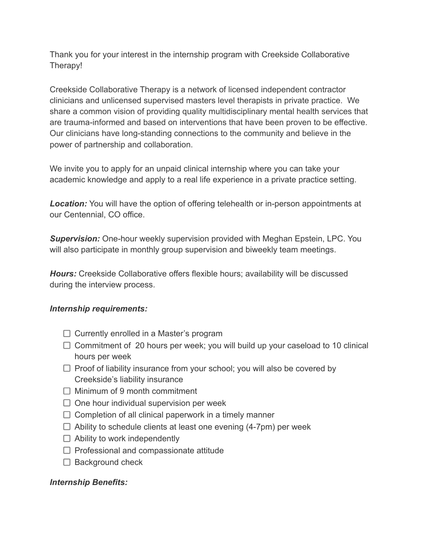Thank you for your interest in the internship program with Creekside Collaborative Therapy!

Creekside Collaborative Therapy is a network of licensed independent contractor clinicians and unlicensed supervised masters level therapists in private practice. We share a common vision of providing quality multidisciplinary mental health services that are trauma-informed and based on interventions that have been proven to be effective. Our clinicians have long-standing connections to the community and believe in the power of partnership and collaboration.

We invite you to apply for an unpaid clinical internship where you can take your academic knowledge and apply to a real life experience in a private practice setting.

*Location:* You will have the option of offering telehealth or in-person appointments at our Centennial, CO office.

*Supervision:* One-hour weekly supervision provided with Meghan Epstein, LPC. You will also participate in monthly group supervision and biweekly team meetings.

*Hours:* Creekside Collaborative offers flexible hours; availability will be discussed during the interview process.

## *Internship requirements:*

- $\Box$  Currently enrolled in a Master's program
- $\Box$  Commitment of 20 hours per week; you will build up your caseload to 10 clinical hours per week
- $\Box$  Proof of liability insurance from your school; you will also be covered by Creekside's liability insurance
- $\Box$  Minimum of 9 month commitment
- $\Box$  One hour individual supervision per week
- $\Box$  Completion of all clinical paperwork in a timely manner
- $\Box$  Ability to schedule clients at least one evening (4-7pm) per week
- $\Box$  Ability to work independently
- $\Box$  Professional and compassionate attitude
- $\Box$  Background check

## *Internship Benefits:*